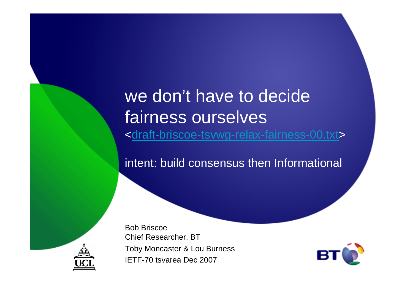we don't have to decide fairness ourselves<draft-briscoe-tsvwg-relax-fairness-00.txt>

intent: build consensus then Informational

Bob Briscoe Chief Researcher, BT Toby Moncaster & Lou BurnessIETF-70 tsvarea Dec 2007



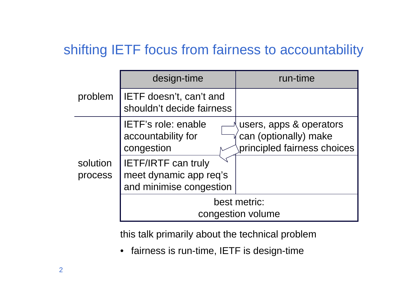### shifting IETF focus from fairness to accountability

|                     | design-time                                                                     | run-time                                                                        |  |  |  |  |
|---------------------|---------------------------------------------------------------------------------|---------------------------------------------------------------------------------|--|--|--|--|
| problem             | IETF doesn't, can't and<br>shouldn't decide fairness                            |                                                                                 |  |  |  |  |
| solution<br>process | <b>IETF's role: enable</b><br>accountability for<br>congestion                  | users, apps & operators<br>can (optionally) make<br>principled fairness choices |  |  |  |  |
|                     | <b>IETF/IRTF can truly</b><br>meet dynamic app req's<br>and minimise congestion |                                                                                 |  |  |  |  |
|                     | best metric:<br>congestion volume                                               |                                                                                 |  |  |  |  |

this talk primarily about the technical problem

• fairness is run-time, IETF is design-time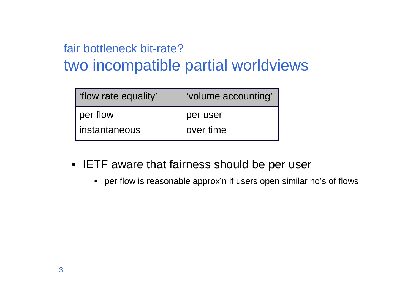## fair bottleneck bit-rate?

## two incompatible partial worldviews

| flow rate equality' | 'volume accounting' |
|---------------------|---------------------|
| per flow            | per user            |
| I instantaneous     | over time           |

- IETF aware that fairness should be per user
	- per flow is reasonable approx'n if users open similar no's of flows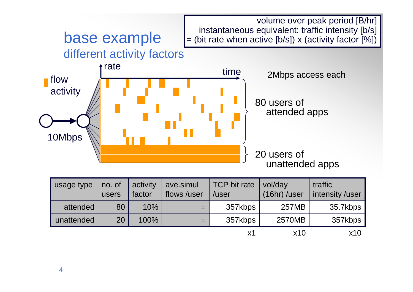

| usage type | no. of<br>users | activity<br>factor | ave.simul<br>flows /user | TCP bit rate<br>/user | vol/day<br>(16hr) /user | traffic<br>intensity /user |
|------------|-----------------|--------------------|--------------------------|-----------------------|-------------------------|----------------------------|
| attended   | 80              | 10%                | $=$                      | 357kbps               | <b>257MB</b>            | 35.7kbps                   |
| unattended | 20              | 100%               | $=$                      | 357kbps               | 2570MB                  | 357kbps                    |
|            |                 |                    |                          | х1                    | x10                     | x10                        |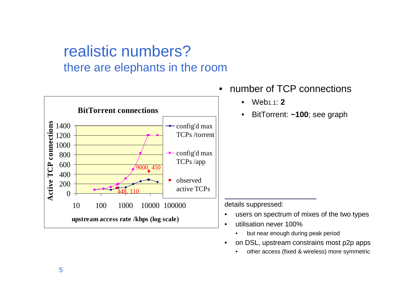#### realistic numbers?there are elephants in the room



- • number of TCP connections
	- $\bullet$ Web1.1: **2**
	- •BitTorrent: **~100**; see graph

details suppressed:

- •users on spectrum of mixes of the two types
- • utilisation never 100%
	- but near enough during peak period•
- on DSL, upstream constrains most p2p apps •
	- •other access (fixed & wireless) more symmetric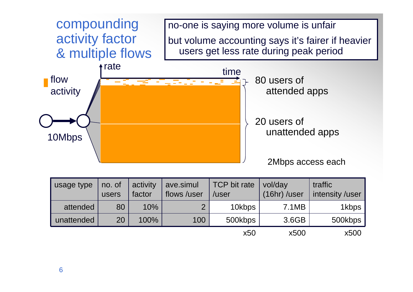

| usage type | no. of<br>users | activity<br>factor | ave.simul<br>flows /user | TCP bit rate<br>/user | vol/day<br>$(16hr)$ /user | traffic<br>intensity /user |
|------------|-----------------|--------------------|--------------------------|-----------------------|---------------------------|----------------------------|
| attended   | 80              | 10%                | $\overline{2}$           | 10kbps                | 7.1MB                     | 1kbps                      |
| unattended | 20              | 100%               | 100                      | 500kbps               | 3.6GB                     | 500kbps                    |
|            |                 |                    |                          | x50                   | x500                      | x500                       |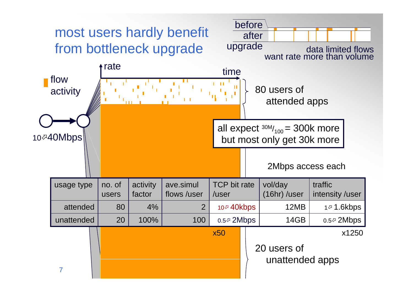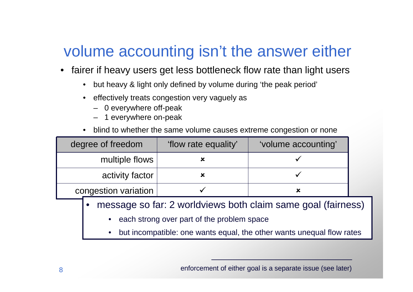# volume accounting isn't the answer either

- • fairer if heavy users get less bottleneck flow rate than light users
	- •but heavy & light only defined by volume during 'the peak period'
	- $\bullet$  effectively treats congestion very vaguely as
		- 0 everywhere off-peak
		- 1 everywhere on-peak
	- •blind to whether the same volume causes extreme congestion or none

| 'flow rate equality' | 'volume accounting' |  |  |  |
|----------------------|---------------------|--|--|--|
|                      |                     |  |  |  |
|                      |                     |  |  |  |
|                      |                     |  |  |  |
|                      |                     |  |  |  |

- message so far: 2 worldviews both claim same goal (fairness)•
	- •each strong over part of the problem space
	- •but incompatible: one wants equal, the other wants unequal flow rates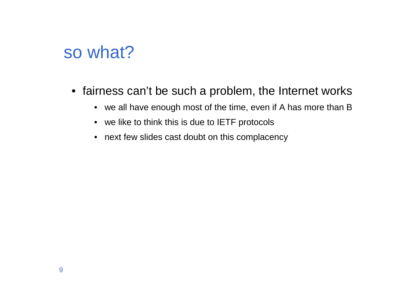## so what?

- fairness can't be such a problem, the Internet works
	- we all have enough most of the time, even if A has more than B
	- we like to think this is due to IETF protocols
	- next few slides cast doubt on this complacency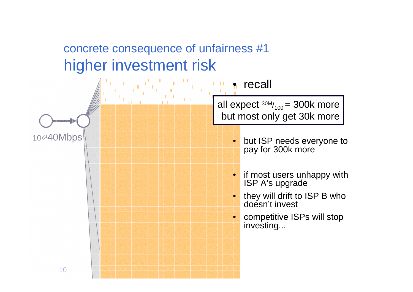### concrete consequence of unfairness #1higher investment risk

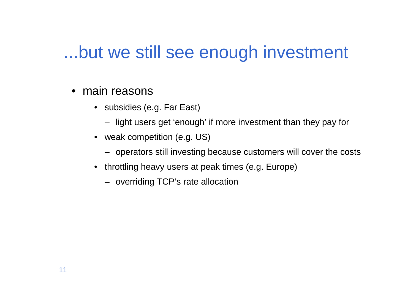## ...but we still see enough investment

- main reasons
	- subsidies (e.g. Far East)
		- light users get 'enough' if more investment than they pay for
	- weak competition (e.g. US)
		- operators still investing because customers will cover the costs
	- throttling heavy users at peak times (e.g. Europe)
		- overriding TCP's rate allocation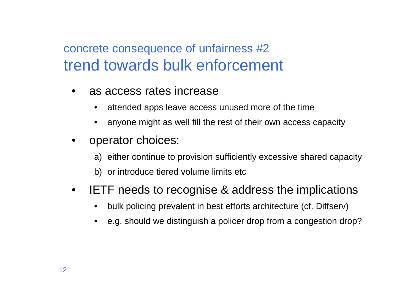### concrete consequence of unfairness #2trend towards bulk enforcement

- • as access rates increase
	- •attended apps leave access unused more of the time
	- •anyone might as well fill the rest of their own access capacity
- • operator choices:
	- a) either continue to provision sufficiently excessive shared capacity
	- b) or introduce tiered volume limits etc
- $\bullet$  IETF needs to recognise & address the implications
	- •bulk policing prevalent in best efforts architecture (cf. Diffserv)
	- e.g. should we distinguish a policer drop from a congestion drop?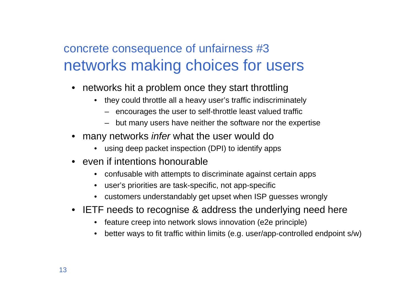### concrete consequence of unfairness #3networks making choices for users

- networks hit a problem once they start throttling
	- they could throttle all a heavy user's traffic indiscriminately
		- encourages the user to self-throttle least valued traffic
		- but many users have neither the software nor the expertise
- many networks infer what the user would do
	- using deep packet inspection (DPI) to identify apps
- even if intentions honourable
	- confusable with attempts to discriminate against certain apps $\bullet$
	- user's priorities are task-specific, not app-specific
	- customers understandably get upset when ISP guesses wrongly
- IETF needs to recognise & address the underlying need here
	- feature creep into network slows innovation (e2e principle)
	- •better ways to fit traffic within limits (e.g. user/app-controlled endpoint s/w)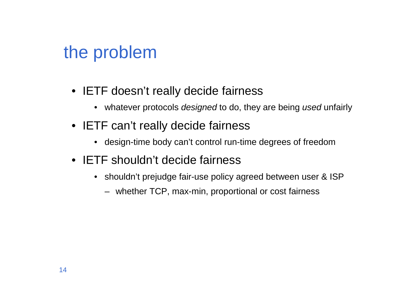# the problem

- IETF doesn't really decide fairness
	- whatever protocols *designed* to do, they are being *used* unfairly
- IETF can't really decide fairness
	- design-time body can't control run-time degrees of freedom
- IETF shouldn't decide fairness
	- shouldn't prejudge fair-use policy agreed between user & ISP
		- whether TCP, max-min, proportional or cost fairness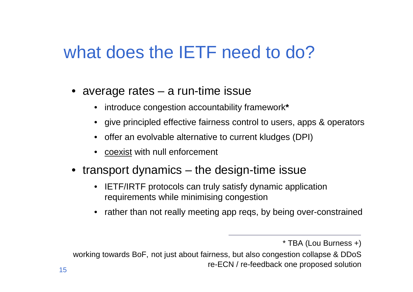# what does the **IETF** need to do?

- average rates a run-time issue
	- introduce congestion accountability framework**\***
	- give principled effective fairness control to users, apps & operators
	- offer an evolvable alternative to current kludges (DPI)
	- coexist with null enforcement
- transport dynamics the design-time issue
	- IETF/IRTF protocols can truly satisfy dynamic application requirements while minimising congestion
	- •rather than not really meeting app reqs, by being over-constrained

<sup>\*</sup> TBA (Lou Burness +)

working towards BoF, not just about fairness, but also congestion collapse & DDoSre-ECN / re-feedback one proposed solution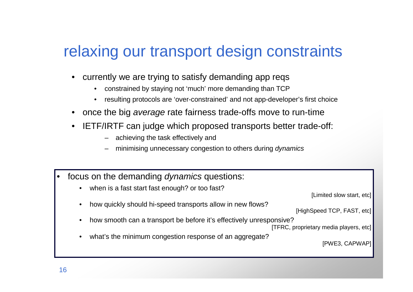## relaxing our transport design constraints

- • currently we are trying to satisfy demanding app reqs
	- $\bullet$ constrained by staying not 'much' more demanding than TCP
	- resulting protocols are 'over-constrained' and not app-developer's first choice•
- once the big average rate fairness trade-offs move to run-time
- • IETF/IRTF can judge which proposed transports better trade-off:
	- achieving the task effectively and
	- minimising unnecessary congestion to others during dynamics
- • focus on the demanding dynamics questions:
	- •when is a fast start fast enough? or too fast?

[Limited slow start, etc]

- •how quickly should hi-speed transports allow in new flows?
- [HighSpeed TCP, FAST, etc]
- •how smooth can a transport be before it's effectively unresponsive?

[TFRC, proprietary media players, etc]

 $\bullet$ what's the minimum congestion response of an aggregate?

[PWE3, CAPWAP]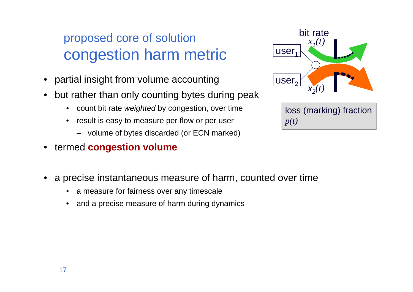### proposed core of solutioncongestion harm metric

- •partial insight from volume accounting
- • but rather than only counting bytes during peak
	- $\bullet$ count bit rate weighted by congestion, over time
	- • result is easy to measure per flow or per user
		- volume of bytes discarded (or ECN marked)
- •termed **congestion volume**



loss (marking) fraction *p(t)*

- • a precise instantaneous measure of harm, counted over time
	- •a measure for fairness over any timescale
	- •and a precise measure of harm during dynamics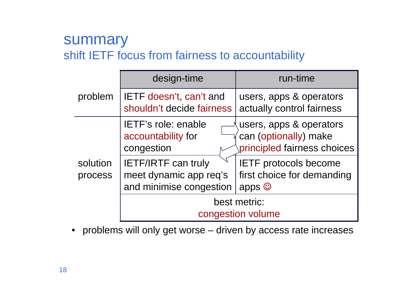#### summaryshift IETF focus from fairness to accountability

|                     | design-time                                                                     | run-time                                                                        |  |  |  |  |
|---------------------|---------------------------------------------------------------------------------|---------------------------------------------------------------------------------|--|--|--|--|
| problem             | <b>IETF</b> doesn't, can't and<br>shouldn't decide fairness                     | users, apps & operators<br>actually control fairness                            |  |  |  |  |
| solution<br>process | IETF's role: enable<br>accountability for<br>congestion                         | users, apps & operators<br>can (optionally) make<br>principled fairness choices |  |  |  |  |
|                     | <b>IETF/IRTF can truly</b><br>meet dynamic app req's<br>and minimise congestion | <b>IETF protocols become</b><br>first choice for demanding<br>apps $\odot$      |  |  |  |  |
|                     | best metric:<br>congestion volume                                               |                                                                                 |  |  |  |  |

• problems will only get worse – driven by access rate increases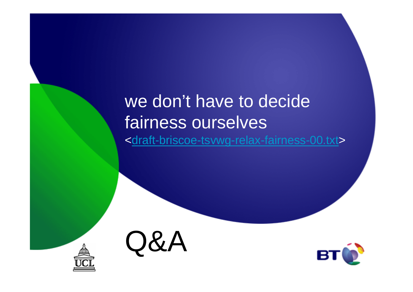## we don't have to decide fairness ourselves<draft-briscoe-tsvwg-relax-fairness-00.txt>



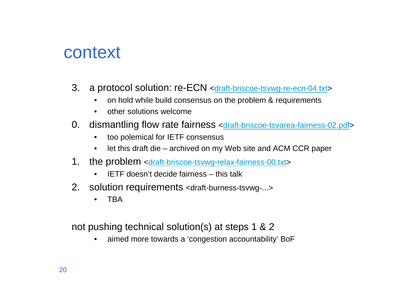## context

- 3. a protocol solution: re-ECN <draft-briscoe-tsvwg-re-ecn-04.txt>
	- •on hold while build consensus on the problem & requirements
	- $\bullet$ other solutions welcome
- 0. dismantling flow rate fairness <draft-briscoe-tsvarea-fairness-02.pdf>
	- $\bullet$ too polemical for IETF consensus
	- $\bullet$ let this draft die – archived on my Web site and ACM CCR paper
- 1. the problem <draft-briscoe-tsvwg-relax-fairness-00.txt>
	- $\bullet$ IETF doesn't decide fairness – this talk
- 2. solution requirements <draft-burness-tsvwg-...>
	- $\bullet$ **TBA**

not pushing technical solution(s) at steps 1 & 2

 aimed more towards a 'congestion accountability' BoF•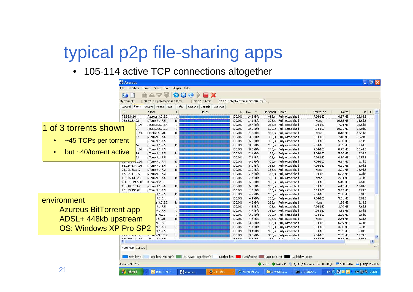# typical p2p file-sharing apps

• 105-114 active TCP connections altogether

|                                                                                                                                                                    | <b>Azureus</b>                          |                                            |                 |                                  |                                   |                          |                |                                                   |                                                                                                      |                     | $\Box$ e $\times$  |
|--------------------------------------------------------------------------------------------------------------------------------------------------------------------|-----------------------------------------|--------------------------------------------|-----------------|----------------------------------|-----------------------------------|--------------------------|----------------|---------------------------------------------------|------------------------------------------------------------------------------------------------------|---------------------|--------------------|
|                                                                                                                                                                    | File Transfers                          | Torrent View Tools Plugins Help            |                 |                                  |                                   |                          |                |                                                   |                                                                                                      |                     |                    |
|                                                                                                                                                                    | P                                       | 堂                                          | Ð<br>$\bigcirc$ | 8 X<br>Đ<br>67                   |                                   |                          |                |                                                   |                                                                                                      |                     |                    |
|                                                                                                                                                                    | My Torrents                             | 100.0% : Nigella Express S01E0             |                 | 100.0% : Atom                    | 67.1% : Nigella Express S01E07 23 |                          |                |                                                   |                                                                                                      |                     |                    |
|                                                                                                                                                                    | Peers<br>General                        | Swarm   Pieces   Files                     | Info            | Options Console Geo Map          |                                   |                          |                |                                                   |                                                                                                      |                     |                    |
|                                                                                                                                                                    | IP                                      | Client                                     | T               | Pieces                           | %                                 | D<br>$\mathcal{P}$       | Up Speed State |                                                   | Encryption                                                                                           | Down                | $Up$ $I$ $\sim$    |
|                                                                                                                                                                    | 78.86.8.10                              | Azureus 3.0.2.2                            |                 |                                  | 100.0%                            | 14.5 kB/s                |                | 44 B/s Fully established                          | RC4-160                                                                                              | 6.87 MB             | 25.8 kB            |
|                                                                                                                                                                    | 76.65.28.192                            | µTorrent 1.7.5                             | R.              |                                  | 100.0%                            | $11.1$ $kB/s$            | 20B/s          | Fully established                                 | None                                                                                                 | 10.52 MB            | 14.6 kB            |
| 1 of 3 torrents shown                                                                                                                                              |                                         | Azureus 3.0.3.4<br>.199<br>Azureus 3.0.2.2 |                 |                                  | 100.0%                            | 10.7 kB/s                |                | 26 B/s Fully established                          | RC4-160                                                                                              | 7.24 MB             | 26.6 kB            |
|                                                                                                                                                                    | 21                                      | Mainline 6.0.0<br>.114                     | Ŕ               |                                  | 100.0%<br>100.0%                  | 18.8 kB/s<br>11.8 kB/s   | 52B/s          | Fully established<br>15 B/s Fully established     | RC4-160<br>None                                                                                      | 18.91 MB<br>8.12 MB | 59.8 kB<br>12.1 kB |
|                                                                                                                                                                    | 17                                      | µTorrent 1.7.5                             |                 |                                  | 100.0%                            | 13.5 kB/s                | 0 B/s          | Fully established                                 | RC4-160                                                                                              | 7.16 MB             | 11.2 kB            |
| ~45 TCPs per torrent<br>$\bullet$                                                                                                                                  |                                         | µTorrent 1.7.5                             |                 |                                  | 100.0%                            | $6.8$ kB/s               | 0 B/s          | Fully established                                 | RC4-160                                                                                              | 5.58 MB             | 9.4 kB             |
|                                                                                                                                                                    | 16                                      | µTorrent 1.7.5                             | R               |                                  | 100.0%                            | $9.0$ kB/s               | 15 B/s         | Fully established                                 | RC4-160                                                                                              | 4.85 MB             | 8.6 kB             |
|                                                                                                                                                                    |                                         | .126<br>µTorrent 1.7.5                     |                 |                                  | 100.0%                            | $9.6$ kB/s               | 17B/s          | Fully established                                 | RC4-160                                                                                              | 8.43 MB             | 12.4 kB            |
| but ~40/torrent active<br>$\bullet$                                                                                                                                | 99                                      | µTorrent 1.7.5                             | R               |                                  | 100.0%                            | 12.1 kB/s                | 13B/s          | Fully established                                 | RC4-160                                                                                              | 5.30 MB             | 8.3 kB             |
|                                                                                                                                                                    |                                         | µTorrent 1.7.5                             |                 |                                  | 100.0%                            | 7.4 kB/s                 | 0 B/s          | Fully established                                 | RC4-160                                                                                              | 6.59 MB             | 10.5 kB            |
|                                                                                                                                                                    | <del>41.102.10</del> 2.58               | µTorrent 1.7.5                             | R               |                                  | 100.0%                            | $6.5$ kB/s               |                | 0 B/s Fully established                           | RC4-160                                                                                              | 4.27 MB             | 8.1 kB             |
|                                                                                                                                                                    | 66.214.134.174                          | µTorrent 1.6.0                             |                 |                                  | 100.0%                            | $8.0$ kB/s               | 15B/s          | Fully established                                 | RC4-160                                                                                              | 4.91 MB             | 8.9 kB             |
|                                                                                                                                                                    | 24,108,88,117                           | µTorrent 1.7.2                             | R.              |                                  | 100.0%                            | 12.0 kB/s                | 23B/s          | Fully established                                 | None                                                                                                 | 8.91 MB             | 12.9 kB            |
|                                                                                                                                                                    | 87.194.119.77                           | µTorrent 1.7.3                             |                 |                                  | 100.0%                            | 7.7 kB/s                 | 12B/s          | Fully established                                 | RC4-160                                                                                              | 5.43 MB             | 9.3 kB             |
|                                                                                                                                                                    | 121.45.133.231                          | µTorrent 1.7.5                             | R.              |                                  | 100.0%                            | $7.7$ $kB/s$             | 12B/s          | Fully established<br>Fully established            | None                                                                                                 | 2.54 MB             | 5.1 kB             |
|                                                                                                                                                                    | 220.245.217.58<br>124.102.103.7         | KTorrent 2.2<br>µTorrent 1.7.5             | R               |                                  | 100.0%<br>100.0%                  | $5.8$ kB/s<br>$6.0$ kB/s | 10B/s<br>13B/s | Fully established                                 | RC4-160<br>RC4-160                                                                                   | 5.15 MB<br>6.17 MB  | 9.5 kB<br>10.0 kB  |
|                                                                                                                                                                    | 121.45.153.84                           | µTorrent 1.7.5                             |                 |                                  | 100.0%                            | $4.8$ kB/s               |                | 13 B/s Fully established                          | RC4-160                                                                                              | 5.29 MB             | 9.2 kB             |
|                                                                                                                                                                    |                                         | int 1.7.5                                  | R               |                                  | 100.0%                            | $4.9$ kB/s               | 12B/s          | Fully established                                 | RC4-160                                                                                              | 2.08 MB             | 5.9 kB             |
|                                                                                                                                                                    |                                         | nt 1.6.1                                   |                 |                                  | 100.0%                            | $4.4$ kB/s               | 13B/s          | Fully established                                 | RC4-160                                                                                              | 5.01 MB             | 8.9 kB             |
| environment                                                                                                                                                        |                                         | Is 3.0.2.2                                 | R               |                                  | 100.0%                            | $4.3$ kB/s               |                | 26 B/s Fully established                          | None                                                                                                 | 1.28 MB             | 6.1 kB             |
|                                                                                                                                                                    |                                         | nt 1.7.5                                   |                 |                                  | 100.0%                            | $4.8$ kB/s               | 0B/s           | Fully established                                 | RC4-160                                                                                              | 3.79 MB             | 7.6 kB             |
| <b>Azureus BitTorrent app</b>                                                                                                                                      |                                         | nt 1.7.5                                   |                 |                                  | 100.0%                            | $4.7$ kB/s               | 15B/s          | Fully established                                 | RC4-160                                                                                              | 3.13 MB             | 6.8 kB             |
|                                                                                                                                                                    |                                         | et 0.93                                    |                 |                                  | 100.0%                            | $3.8$ kB/s               | 10B/s          | Fully established                                 | RC4-160                                                                                              | 2.85 MB             | 6.5kB              |
| ADSL+ 448kb upstream                                                                                                                                               |                                         | e 6.0.0                                    | R               |                                  | 100.0%                            | $4.6$ kB/s               |                | 10 B/s Fully established                          | None                                                                                                 | 2.54 MB             | 5.3 kB             |
|                                                                                                                                                                    |                                         | nt 1.6.1                                   |                 |                                  | 100.0%                            | $3.2$ kB/s               | 0 B/s          | Fully established                                 | RC4-160                                                                                              | 5.89 MB             | 9.7 kB             |
| <b>OS: Windows XP Pro SP2</b>                                                                                                                                      |                                         | nt 1.7.4                                   |                 |                                  | 100.0%                            | $4.7$ kB/s               | 12B/s          | Fully established                                 | RC4-160                                                                                              | 3.00 MB             | 6.7 kB             |
|                                                                                                                                                                    |                                         | nt 1.7.5                                   |                 |                                  | 100.0%                            | $3.4$ kB/s               | 10B/s          | Fully established                                 | RC4-160                                                                                              | 2.02 MB             | 5.8 kB             |
|                                                                                                                                                                    | <b>IZTENETECZNICE</b><br>000 171 CA 174 | ncureus 3.0.2.2<br>$T$ and $A$ $B$ $F$     |                 |                                  | 100.0%<br>100.00                  | $3.8$ kB/s<br>$n \geq 1$ | 30B/s          | Fully established<br>O.O.I. College a statistical | RC4-160<br>$n - 1$                                                                                   | 2.05 MB<br>F nr san | 10.7 kB<br>0.71n   |
|                                                                                                                                                                    |                                         |                                            |                 |                                  |                                   |                          |                |                                                   |                                                                                                      |                     |                    |
|                                                                                                                                                                    |                                         |                                            |                 |                                  |                                   |                          |                |                                                   |                                                                                                      |                     | i <sup>-1</sup>    |
| Piece Map Console<br>Peer has; You don't You have; Peer doesn't<br>Neither has <b>King</b> Transferring <b>Next Request Availability Count</b><br><b>Both have</b> |                                         |                                            |                 |                                  |                                   |                          |                |                                                   |                                                                                                      |                     |                    |
|                                                                                                                                                                    |                                         |                                            |                 |                                  |                                   |                          |                |                                                   |                                                                                                      |                     |                    |
|                                                                                                                                                                    | Azureus 3.0.2.2                         |                                            |                 |                                  |                                   |                          |                |                                                   | Ratio NAT OK : 1,111,144 users IPs: 0 - 0/0/0 $\triangledown$ 580.0 kB/s $\triangle$ [11K]* 2.2 kB/s |                     |                    |
| 21                                                                                                                                                                 | <b>Start</b>                            | D Inbox - Micr                             |                 | <b>Azureus</b><br>Э<br>2 Firefox |                                   | C Microsoft O.           |                | 2 Window » ex C:\WINDO                            |                                                                                                      | EN & <b>4 E O 1</b> | $= 3.9, 09:21$     |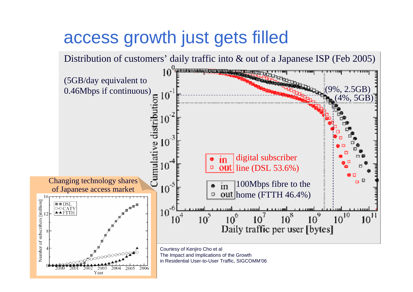# access growth just gets filled

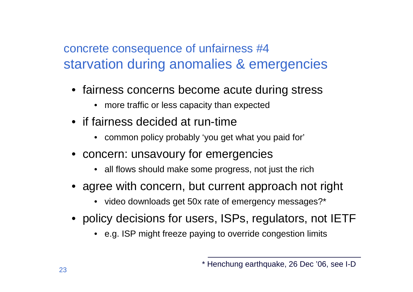#### concrete consequence of unfairness #4starvation during anomalies & emergencies

- fairness concerns become acute during stress
	- more traffic or less capacity than expected
- if fairness decided at run-time
	- common policy probably 'you get what you paid for'
- concern: unsavoury for emergencies
	- all flows should make some progress, not just the rich
- agree with concern, but current approach not right
	- video downloads get 50x rate of emergency messages?\*
- policy decisions for users, ISPs, regulators, not IETF
	- e.g. ISP might freeze paying to override congestion limits

<sup>\*</sup> Henchung earthquake, 26 Dec '06, see I-D